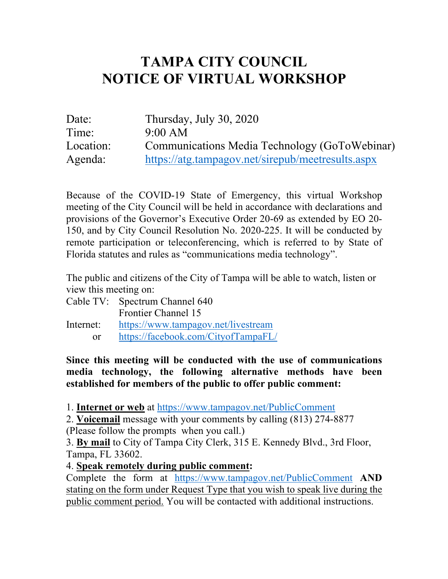## **TAMPA CITY COUNCIL NOTICE OF VIRTUAL WORKSHOP**

| Date:     | Thursday, July 30, 2020                           |
|-----------|---------------------------------------------------|
| Time:     | 9:00 AM                                           |
| Location: | Communications Media Technology (GoToWebinar)     |
| Agenda:   | https://atg.tampagov.net/sirepub/meetresults.aspx |

 Because of the COVID-19 State of Emergency, this virtual Workshop meeting of the City Council will be held in accordance with declarations and provisions of the Governor's Executive Order 20-69 as extended by EO 20- 150, and by City Council Resolution No. 2020-225. It will be conducted by remote participation or teleconferencing, which is referred to by State of Florida statutes and rules as "communications media technology".

 The public and citizens of the City of Tampa will be able to watch, listen or view this meeting on:

|            | Cable TV: Spectrum Channel 640      |
|------------|-------------------------------------|
|            | <b>Frontier Channel 15</b>          |
| Internet:  | https://www.tampagov.net/livestream |
| $\alpha$ r | https://facebook.com/CityofTampaFL/ |

 **Since this meeting will be conducted with the use of communications media technology, the following alternative methods have been established for members of the public to offer public comment:** 

1. **Internet or web** at https://www.tampagov.net/PublicComment

 2. **Voicemail** message with your comments by calling (813) 274-8877 (Please follow the prompts when you call.)

3. **By mail** to City of Tampa City Clerk, 315 E. Kennedy Blvd., 3rd Floor, Tampa, FL 33602.

4. **Speak remotely during public comment:** 

 Complete the form at https://www.tampagov.net/PublicComment **AND**  stating on the form under Request Type that you wish to speak live during the public comment period. You will be contacted with additional instructions.